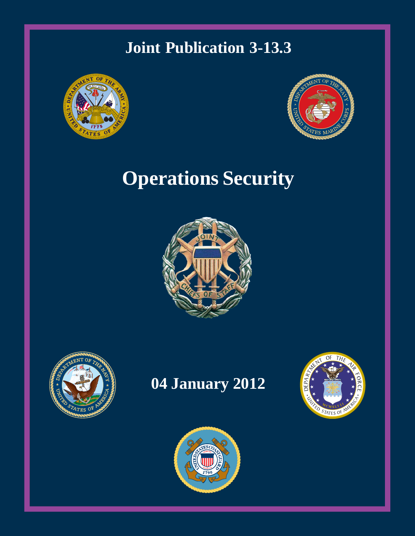## **Joint Publication 3-13.3**





# **Operations Security**





# **04 January 2012**



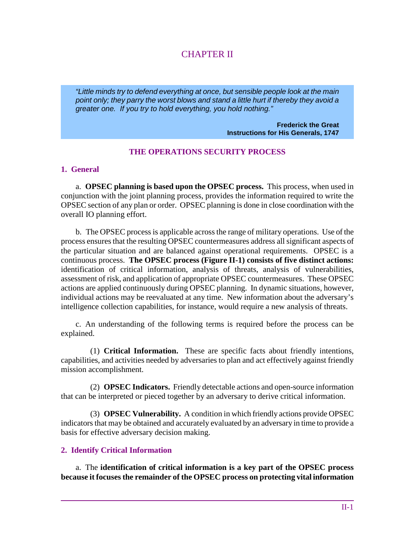## CHAPTER II

*"Little minds try to defend everything at once, but sensible people look at the main point only; they parry the worst blows and stand a little hurt if thereby they avoid a greater one. If you try to hold everything, you hold nothing."* 

> **Frederick the Great Instructions for His Generals, 1747**

#### **THE OPERATIONS SECURITY PROCESS**

#### **1. General**

a. **OPSEC planning is based upon the OPSEC process.** This process, when used in conjunction with the joint planning process, provides the information required to write the OPSEC section of any plan or order. OPSEC planning is done in close coordination with the overall IO planning effort.

b. The OPSEC process is applicable across the range of military operations. Use of the process ensures that the resulting OPSEC countermeasures address all significant aspects of the particular situation and are balanced against operational requirements. OPSEC is a continuous process. **The OPSEC process (Figure II-1) consists of five distinct actions:** identification of critical information, analysis of threats, analysis of vulnerabilities, assessment of risk, and application of appropriate OPSEC countermeasures. These OPSEC actions are applied continuously during OPSEC planning. In dynamic situations, however, individual actions may be reevaluated at any time. New information about the adversary's intelligence collection capabilities, for instance, would require a new analysis of threats.

c. An understanding of the following terms is required before the process can be explained.

(1) **Critical Information.** These are specific facts about friendly intentions, capabilities, and activities needed by adversaries to plan and act effectively against friendly mission accomplishment.

(2) **OPSEC Indicators.** Friendly detectable actions and open-source information that can be interpreted or pieced together by an adversary to derive critical information.

(3) **OPSEC Vulnerability.** A condition in which friendly actions provide OPSEC indicators that may be obtained and accurately evaluated by an adversary in time to provide a basis for effective adversary decision making.

#### **2. Identify Critical Information**

a. The **identification of critical information is a key part of the OPSEC process because it focuses the remainder of the OPSEC process on protecting vital information**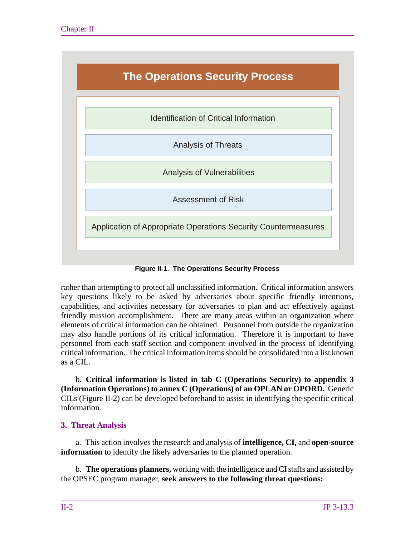

**Figure II-1. The Operations Security Process**

rather than attempting to protect all unclassified information. Critical information answers key questions likely to be asked by adversaries about specific friendly intentions, capabilities, and activities necessary for adversaries to plan and act effectively against friendly mission accomplishment. There are many areas within an organization where elements of critical information can be obtained. Personnel from outside the organization may also handle portions of its critical information. Therefore it is important to have personnel from each staff section and component involved in the process of identifying critical information. The critical information items should be consolidated into a list known as a CIL.

b. **Critical information is listed in tab C (Operations Security) to appendix 3 (Information Operations) to annex C (Operations) of an OPLAN or OPORD.** Generic CILs (Figure II-2) can be developed beforehand to assist in identifying the specific critical information.

### **3. Threat Analysis**

a. This action involves the research and analysis of **intelligence, CI,** and **open-source information** to identify the likely adversaries to the planned operation.

b. **The operations planners,** working with the intelligence and CIstaffs and assisted by the OPSEC program manager, **seek answers to the following threat questions:**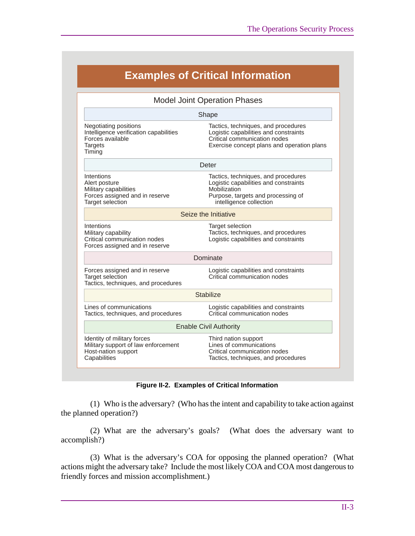| <b>Examples of Critical Information</b>                                                                         |                                                                                                                                                               |
|-----------------------------------------------------------------------------------------------------------------|---------------------------------------------------------------------------------------------------------------------------------------------------------------|
| <b>Model Joint Operation Phases</b>                                                                             |                                                                                                                                                               |
| Shape                                                                                                           |                                                                                                                                                               |
| Negotiating positions<br>Intelligence verification capabilities<br>Forces available<br><b>Targets</b><br>Timing | Tactics, techniques, and procedures<br>Logistic capabilities and constraints<br>Critical communication nodes<br>Exercise concept plans and operation plans    |
| Deter                                                                                                           |                                                                                                                                                               |
| Intentions<br>Alert posture<br>Military capabilities<br>Forces assigned and in reserve<br>Target selection      | Tactics, techniques, and procedures<br>Logistic capabilities and constraints<br>Mobilization<br>Purpose, targets and processing of<br>intelligence collection |
| Seize the Initiative                                                                                            |                                                                                                                                                               |
| Intentions<br>Military capability<br>Critical communication nodes<br>Forces assigned and in reserve             | Target selection<br>Tactics, techniques, and procedures<br>Logistic capabilities and constraints                                                              |
| Dominate                                                                                                        |                                                                                                                                                               |
| Forces assigned and in reserve<br><b>Target selection</b><br>Tactics, techniques, and procedures                | Logistic capabilities and constraints<br>Critical communication nodes                                                                                         |
| <b>Stabilize</b>                                                                                                |                                                                                                                                                               |
| Lines of communications<br>Tactics, techniques, and procedures                                                  | Logistic capabilities and constraints<br>Critical communication nodes                                                                                         |
| <b>Enable Civil Authority</b>                                                                                   |                                                                                                                                                               |
| Identity of military forces<br>Military support of law enforcement<br>Host-nation support<br>Capabilities       | Third nation support<br>Lines of communications<br>Critical communication nodes<br>Tactics, techniques, and procedures                                        |

#### **Figure II-2. Examples of Critical Information**

(1) Who is the adversary? (Who has the intent and capability to take action against the planned operation?)

(2) What are the adversary's goals? (What does the adversary want to accomplish?)

(3) What is the adversary's COA for opposing the planned operation? (What actions might the adversary take? Include the most likely COA and COA most dangerous to friendly forces and mission accomplishment.)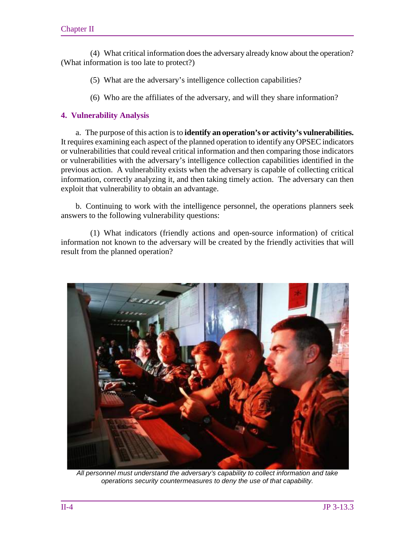(4) What critical information does the adversary already know about the operation? (What information is too late to protect?)

(5) What are the adversary's intelligence collection capabilities?

(6) Who are the affiliates of the adversary, and will they share information?

#### **4. Vulnerability Analysis**

a. The purpose of this action is to **identify an operation's or activity's vulnerabilities.** It requires examining each aspect of the planned operation to identify any OPSEC indicators or vulnerabilities that could reveal critical information and then comparing those indicators or vulnerabilities with the adversary's intelligence collection capabilities identified in the previous action. A vulnerability exists when the adversary is capable of collecting critical information, correctly analyzing it, and then taking timely action. The adversary can then exploit that vulnerability to obtain an advantage.

b. Continuing to work with the intelligence personnel, the operations planners seek answers to the following vulnerability questions:

(1) What indicators (friendly actions and open-source information) of critical information not known to the adversary will be created by the friendly activities that will result from the planned operation?



*All personnel must understand the adversary's capability to collect information and take operations security countermeasures to deny the use of that capability.*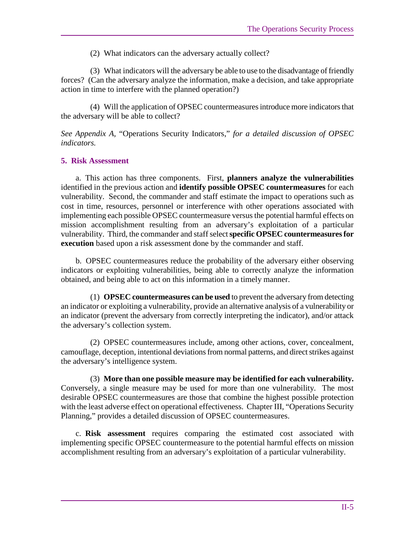(2) What indicators can the adversary actually collect?

(3) What indicators will the adversary be able to use to the disadvantage of friendly forces? (Can the adversary analyze the information, make a decision, and take appropriate action in time to interfere with the planned operation?)

(4) Will the application of OPSEC countermeasures introduce more indicators that the adversary will be able to collect?

*See Appendix A,* "Operations Security Indicators," *for a detailed discussion of OPSEC indicators.* 

#### **5. Risk Assessment**

a. This action has three components. First, **planners analyze the vulnerabilities** identified in the previous action and **identify possible OPSEC countermeasures** for each vulnerability. Second, the commander and staff estimate the impact to operations such as cost in time, resources, personnel or interference with other operations associated with implementing each possible OPSEC countermeasure versus the potential harmful effects on mission accomplishment resulting from an adversary's exploitation of a particular vulnerability. Third, the commander and staff select**specific OPSEC countermeasures for execution** based upon a risk assessment done by the commander and staff.

b. OPSEC countermeasures reduce the probability of the adversary either observing indicators or exploiting vulnerabilities, being able to correctly analyze the information obtained, and being able to act on this information in a timely manner.

(1) **OPSEC countermeasures can be used** to prevent the adversary from detecting an indicator or exploiting a vulnerability, provide an alternative analysis of a vulnerability or an indicator (prevent the adversary from correctly interpreting the indicator), and/or attack the adversary's collection system.

(2) OPSEC countermeasures include, among other actions, cover, concealment, camouflage, deception, intentional deviations from normal patterns, and direct strikes against the adversary's intelligence system.

(3) **More than one possible measure may be identified for each vulnerability.** Conversely, a single measure may be used for more than one vulnerability. The most desirable OPSEC countermeasures are those that combine the highest possible protection with the least adverse effect on operational effectiveness. Chapter III, "Operations Security Planning," provides a detailed discussion of OPSEC countermeasures.

c. **Risk assessment** requires comparing the estimated cost associated with implementing specific OPSEC countermeasure to the potential harmful effects on mission accomplishment resulting from an adversary's exploitation of a particular vulnerability.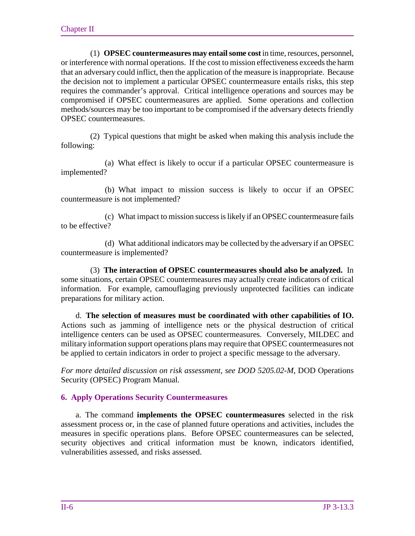(1) **OPSEC countermeasures may entail some cost** in time, resources, personnel, or interference with normal operations. If the cost to mission effectiveness exceeds the harm that an adversary could inflict, then the application of the measure is inappropriate. Because the decision not to implement a particular OPSEC countermeasure entails risks, this step requires the commander's approval. Critical intelligence operations and sources may be compromised if OPSEC countermeasures are applied. Some operations and collection methods/sources may be too important to be compromised if the adversary detects friendly OPSEC countermeasures.

(2) Typical questions that might be asked when making this analysis include the following:

(a) What effect is likely to occur if a particular OPSEC countermeasure is implemented?

(b) What impact to mission success is likely to occur if an OPSEC countermeasure is not implemented?

(c) What impact to mission success is likely if an OPSEC countermeasure fails to be effective?

(d) What additional indicators may be collected by the adversary if an OPSEC countermeasure is implemented?

(3) **The interaction of OPSEC countermeasures should also be analyzed.** In some situations, certain OPSEC countermeasures may actually create indicators of critical information. For example, camouflaging previously unprotected facilities can indicate preparations for military action.

d. **The selection of measures must be coordinated with other capabilities of IO.** Actions such as jamming of intelligence nets or the physical destruction of critical intelligence centers can be used as OPSEC countermeasures. Conversely, MILDEC and military information support operations plans may require that OPSEC countermeasures not be applied to certain indicators in order to project a specific message to the adversary.

*For more detailed discussion on risk assessment, see DOD 5205.02-M*, DOD Operations Security (OPSEC) Program Manual*.* 

#### **6. Apply Operations Security Countermeasures**

a. The command **implements the OPSEC countermeasures** selected in the risk assessment process or, in the case of planned future operations and activities, includes the measures in specific operations plans. Before OPSEC countermeasures can be selected, security objectives and critical information must be known, indicators identified, vulnerabilities assessed, and risks assessed.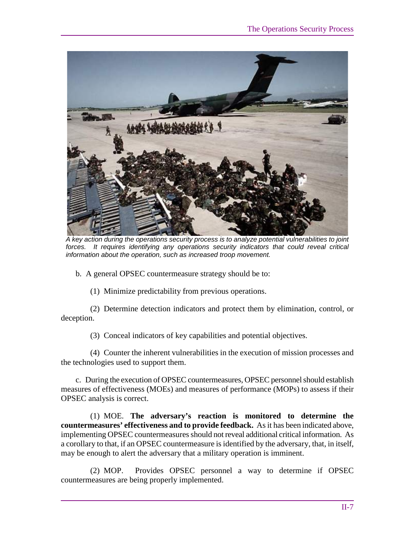

*A key action during the operations security process is to analyze potential vulnerabilities to joint forces. It requires identifying any operations security indicators that could reveal critical information about the operation, such as increased troop movement.*

b. A general OPSEC countermeasure strategy should be to:

(1) Minimize predictability from previous operations.

(2) Determine detection indicators and protect them by elimination, control, or deception.

(3) Conceal indicators of key capabilities and potential objectives.

(4) Counter the inherent vulnerabilities in the execution of mission processes and the technologies used to support them.

c. During the execution of OPSEC countermeasures, OPSEC personnel should establish measures of effectiveness (MOEs) and measures of performance (MOPs) to assess if their OPSEC analysis is correct.

(1)MOE. **The adversary's reaction is monitored to determine the countermeasures' effectiveness and to provide feedback.** As it has been indicated above, implementing OPSEC countermeasures should not reveal additional critical information. As a corollary to that, if an OPSEC countermeasure is identified by the adversary, that, in itself, may be enough to alert the adversary that a military operation is imminent.

(2) MOP. Provides OPSEC personnel a way to determine if OPSEC countermeasures are being properly implemented.